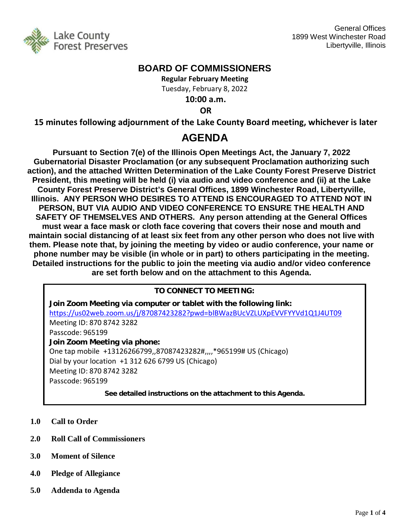

## **BOARD OF COMMISSIONERS**

**Regular February Meeting** Tuesday, February 8, 2022

**10:00 a.m.**

**OR**

**15 minutes following adjournment of the Lake County Board meeting, whichever is later**

# **AGENDA**

**Pursuant to Section 7(e) of the Illinois Open Meetings Act, the January 7, 2022 Gubernatorial Disaster Proclamation (or any subsequent Proclamation authorizing such action), and the attached Written Determination of the Lake County Forest Preserve District President, this meeting will be held (i) via audio and video conference and (ii) at the Lake County Forest Preserve District's General Offices, 1899 Winchester Road, Libertyville, Illinois. ANY PERSON WHO DESIRES TO ATTEND IS ENCOURAGED TO ATTEND NOT IN PERSON, BUT VIA AUDIO AND VIDEO CONFERENCE TO ENSURE THE HEALTH AND SAFETY OF THEMSELVES AND OTHERS. Any person attending at the General Offices must wear a face mask or cloth face covering that covers their nose and mouth and maintain social distancing of at least six feet from any other person who does not live with them. Please note that, by joining the meeting by video or audio conference, your name or phone number may be visible (in whole or in part) to others participating in the meeting. Detailed instructions for the public to join the meeting via audio and/or video conference are set forth below and on the attachment to this Agenda.** 

## **TO CONNECT TO MEETING:**

**Join Zoom Meeting via computer or tablet with the following link:** <https://us02web.zoom.us/j/87087423282?pwd=blBWazBUcVZLUXpEVVFYYVd1Q1J4UT09> Meeting ID: 870 8742 3282 Passcode: 965199 **Join Zoom Meeting via phone:** One tap mobile +13126266799,,87087423282#,,,,\*965199# US (Chicago) Dial by your location +1 312 626 6799 US (Chicago) Meeting ID: 870 8742 3282 Passcode: 965199 **See detailed instructions on the attachment to this Agenda.**

- **1.0 Call to Order**
- **2.0 Roll Call of Commissioners**
- **3.0 Moment of Silence**
- **4.0 Pledge of Allegiance**
- **5.0 Addenda to Agenda**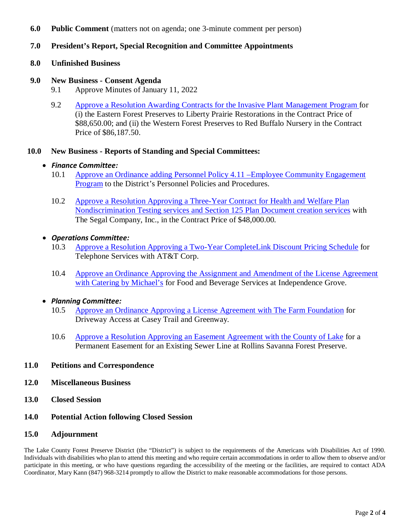- **6.0 Public Comment** (matters not on agenda; one 3-minute comment per person)
- **7.0 President's Report, Special Recognition and Committee Appointments**
- **8.0 Unfinished Business**
- **9.0 New Business - Consent Agenda**
	- 9.1 Approve Minutes of January 11, 2022
	- 9.2 [Approve a Resolution Awarding Contracts for the Invasive Plant Management Program f](http://www.lcfpd.org/assets/1/28/9.2a2.pdf)or (i) the Eastern Forest Preserves to Liberty Prairie Restorations in the Contract Price of \$88,650.00; and (ii) the Western Forest Preserves to Red Buffalo Nursery in the Contract Price of \$86,187.50.

#### **10.0 New Business - Reports of Standing and Special Committees:**

#### • *Finance Committee:*

- 10.1 [Approve an Ordinance adding Personnel Policy 4.11 –Employee Community Engagement](http://www.lcfpd.org/assets/1/28/Revised_Ordinance_adding_Policy_4.11_FINAL_with_Notation.pdf)  [Program](http://www.lcfpd.org/assets/1/28/Revised_Ordinance_adding_Policy_4.11_FINAL_with_Notation.pdf) to the District's Personnel Policies and Procedures.
- 10.2 Approve a Resolution Approving a Three-Year Contract for Health and Welfare Plan [Nondiscrimination Testing services and Section 125 Plan Document creation services](http://www.lcfpd.org/assets/1/28/10.213.pdf) with The Segal Company, Inc., in the Contract Price of \$48,000.00.

### • *Operations Committee:*

- 10.3 [Approve a Resolution Approving a Two-Year CompleteLink Discount Pricing Schedule](http://www.lcfpd.org/assets/1/28/10.311.pdf) for Telephone Services with AT&T Corp.
- 10.4 [Approve an Ordinance Approving the Assignment and Amendment of the License Agreement](http://www.lcfpd.org/assets/1/28/10.411.pdf)  [with Catering by Michael's](http://www.lcfpd.org/assets/1/28/10.411.pdf) for Food and Beverage Services at Independence Grove.

#### • *Planning Committee:*

- 10.5 [Approve an Ordinance Approving a License Agreement with The Farm Foundation](http://www.lcfpd.org/assets/1/28/10.57.pdf) for Driveway Access at Casey Trail and Greenway.
- 10.6 [Approve a Resolution Approving an Easement Agreement with the County of Lake](http://www.lcfpd.org/assets/1/28/10.66.pdf) for a Permanent Easement for an Existing Sewer Line at Rollins Savanna Forest Preserve.

#### **11.0 Petitions and Correspondence**

- **12.0 Miscellaneous Business**
- **13.0 Closed Session**
- **14.0 Potential Action following Closed Session**

#### **15.0 Adjournment**

The Lake County Forest Preserve District (the "District") is subject to the requirements of the Americans with Disabilities Act of 1990. Individuals with disabilities who plan to attend this meeting and who require certain accommodations in order to allow them to observe and/or participate in this meeting, or who have questions regarding the accessibility of the meeting or the facilities, are required to contact ADA Coordinator, Mary Kann (847) 968-3214 promptly to allow the District to make reasonable accommodations for those persons.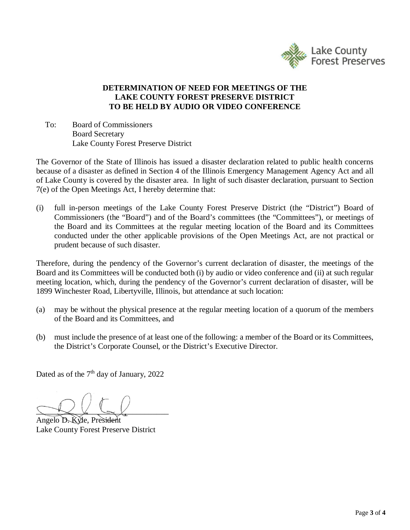

## **DETERMINATION OF NEED FOR MEETINGS OF THE LAKE COUNTY FOREST PRESERVE DISTRICT TO BE HELD BY AUDIO OR VIDEO CONFERENCE**

To: Board of Commissioners Board Secretary Lake County Forest Preserve District

The Governor of the State of Illinois has issued a disaster declaration related to public health concerns because of a disaster as defined in Section 4 of the Illinois Emergency Management Agency Act and all of Lake County is covered by the disaster area. In light of such disaster declaration, pursuant to Section 7(e) of the Open Meetings Act, I hereby determine that:

(i) full in-person meetings of the Lake County Forest Preserve District (the "District") Board of Commissioners (the "Board") and of the Board's committees (the "Committees"), or meetings of the Board and its Committees at the regular meeting location of the Board and its Committees conducted under the other applicable provisions of the Open Meetings Act, are not practical or prudent because of such disaster.

Therefore, during the pendency of the Governor's current declaration of disaster, the meetings of the Board and its Committees will be conducted both (i) by audio or video conference and (ii) at such regular meeting location, which, during the pendency of the Governor's current declaration of disaster, will be 1899 Winchester Road, Libertyville, Illinois, but attendance at such location:

- (a) may be without the physical presence at the regular meeting location of a quorum of the members of the Board and its Committees, and
- (b) must include the presence of at least one of the following: a member of the Board or its Committees, the District's Corporate Counsel, or the District's Executive Director.

Dated as of the 7<sup>th</sup> day of January, 2022

 $\overline{\phantom{a}}$ 

Angelo D. Kyle, President Lake County Forest Preserve District